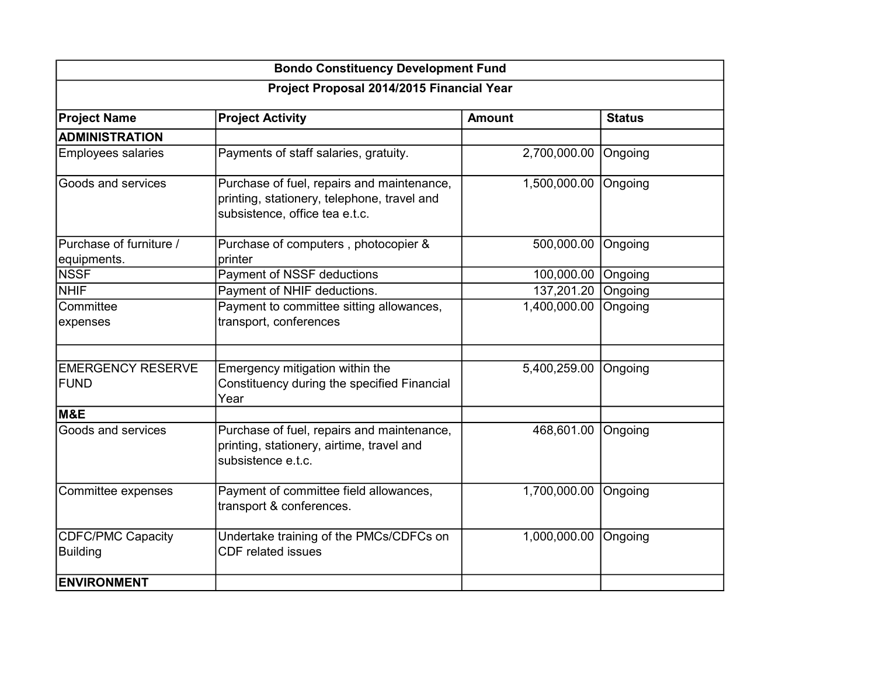| <b>Bondo Constituency Development Fund</b>  |                                                                                                                             |                    |               |  |
|---------------------------------------------|-----------------------------------------------------------------------------------------------------------------------------|--------------------|---------------|--|
| Project Proposal 2014/2015 Financial Year   |                                                                                                                             |                    |               |  |
| <b>Project Name</b>                         | <b>Project Activity</b>                                                                                                     | <b>Amount</b>      | <b>Status</b> |  |
| <b>ADMINISTRATION</b>                       |                                                                                                                             |                    |               |  |
| <b>Employees salaries</b>                   | Payments of staff salaries, gratuity.                                                                                       | 2,700,000.00       | Ongoing       |  |
| Goods and services                          | Purchase of fuel, repairs and maintenance,<br>printing, stationery, telephone, travel and<br>subsistence, office tea e.t.c. | 1,500,000.00       | Ongoing       |  |
| Purchase of furniture /<br>equipments.      | Purchase of computers, photocopier &<br>printer                                                                             | 500,000.00         | Ongoing       |  |
| <b>NSSF</b>                                 | Payment of NSSF deductions                                                                                                  | 100,000.00 Ongoing |               |  |
| <b>NHIF</b>                                 | Payment of NHIF deductions.                                                                                                 | 137,201.20         | Ongoing       |  |
| Committee<br>expenses                       | Payment to committee sitting allowances,<br>transport, conferences                                                          | 1,400,000.00       | Ongoing       |  |
| <b>EMERGENCY RESERVE</b><br><b>FUND</b>     | Emergency mitigation within the<br>Constituency during the specified Financial<br>Year                                      | 5,400,259.00       | Ongoing       |  |
| M&E                                         |                                                                                                                             |                    |               |  |
| Goods and services                          | Purchase of fuel, repairs and maintenance,<br>printing, stationery, airtime, travel and<br>subsistence e.t.c.               | 468,601.00         | Ongoing       |  |
| Committee expenses                          | Payment of committee field allowances,<br>transport & conferences.                                                          | 1,700,000.00       | Ongoing       |  |
| <b>CDFC/PMC Capacity</b><br><b>Building</b> | Undertake training of the PMCs/CDFCs on<br><b>CDF</b> related issues                                                        | 1,000,000.00       | Ongoing       |  |
| <b>ENVIRONMENT</b>                          |                                                                                                                             |                    |               |  |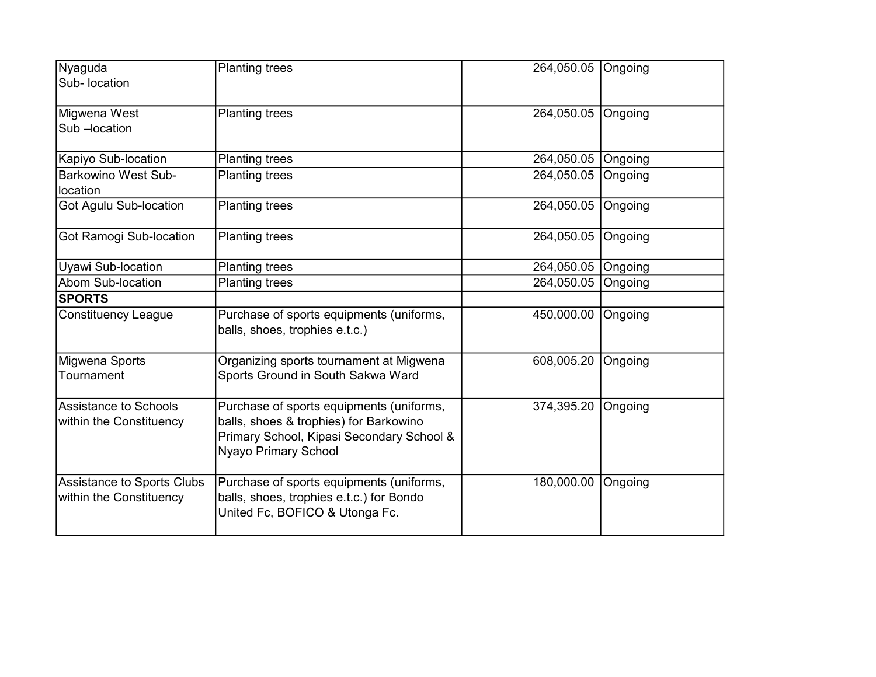| Nyaguda<br>Sub- location                              | <b>Planting trees</b>                                                                                                                                   | 264,050.05 | <b>Ongoing</b> |
|-------------------------------------------------------|---------------------------------------------------------------------------------------------------------------------------------------------------------|------------|----------------|
|                                                       |                                                                                                                                                         |            |                |
| Migwena West                                          | Planting trees                                                                                                                                          | 264,050.05 | Ongoing        |
| Sub-location                                          |                                                                                                                                                         |            |                |
| Kapiyo Sub-location                                   | <b>Planting trees</b>                                                                                                                                   | 264,050.05 | Ongoing        |
| <b>Barkowino West Sub-</b><br>location                | <b>Planting trees</b>                                                                                                                                   | 264,050.05 | Ongoing        |
| Got Agulu Sub-location                                | <b>Planting trees</b>                                                                                                                                   | 264,050.05 | Ongoing        |
| Got Ramogi Sub-location                               | <b>Planting trees</b>                                                                                                                                   | 264,050.05 | Ongoing        |
| Uyawi Sub-location                                    | <b>Planting trees</b>                                                                                                                                   | 264,050.05 | Ongoing        |
| Abom Sub-location                                     | <b>Planting trees</b>                                                                                                                                   | 264,050.05 | Ongoing        |
| <b>SPORTS</b>                                         |                                                                                                                                                         |            |                |
| <b>Constituency League</b>                            | Purchase of sports equipments (uniforms,<br>balls, shoes, trophies e.t.c.)                                                                              | 450,000.00 | Ongoing        |
| Migwena Sports<br>Tournament                          | Organizing sports tournament at Migwena<br>Sports Ground in South Sakwa Ward                                                                            | 608,005.20 | Ongoing        |
| Assistance to Schools<br>within the Constituency      | Purchase of sports equipments (uniforms,<br>balls, shoes & trophies) for Barkowino<br>Primary School, Kipasi Secondary School &<br>Nyayo Primary School | 374,395.20 | Ongoing        |
| Assistance to Sports Clubs<br>within the Constituency | Purchase of sports equipments (uniforms,<br>balls, shoes, trophies e.t.c.) for Bondo<br>United Fc, BOFICO & Utonga Fc.                                  | 180,000.00 | Ongoing        |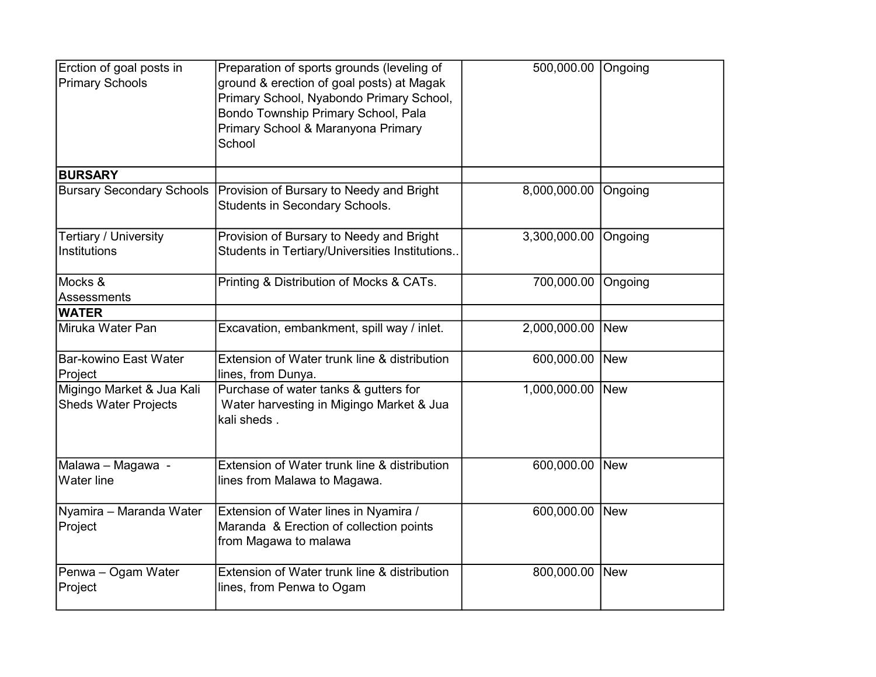| Erction of goal posts in<br><b>Primary Schools</b>       | Preparation of sports grounds (leveling of<br>ground & erection of goal posts) at Magak<br>Primary School, Nyabondo Primary School,<br>Bondo Township Primary School, Pala<br>Primary School & Maranyona Primary<br>School | 500,000.00 Ongoing   |         |
|----------------------------------------------------------|----------------------------------------------------------------------------------------------------------------------------------------------------------------------------------------------------------------------------|----------------------|---------|
| <b>BURSARY</b>                                           |                                                                                                                                                                                                                            |                      |         |
| <b>Bursary Secondary Schools</b>                         | Provision of Bursary to Needy and Bright<br>Students in Secondary Schools.                                                                                                                                                 | 8,000,000.00 Ongoing |         |
| Tertiary / University<br><b>Institutions</b>             | Provision of Bursary to Needy and Bright<br>Students in Tertiary/Universities Institutions                                                                                                                                 | 3,300,000.00         | Ongoing |
| Mocks &<br><b>Assessments</b>                            | Printing & Distribution of Mocks & CATs.                                                                                                                                                                                   | 700,000.00           | Ongoing |
| <b>WATER</b>                                             |                                                                                                                                                                                                                            |                      |         |
| Miruka Water Pan                                         | Excavation, embankment, spill way / inlet.                                                                                                                                                                                 | 2,000,000.00         | New     |
| <b>Bar-kowino East Water</b><br>Project                  | Extension of Water trunk line & distribution<br>lines, from Dunya.                                                                                                                                                         | 600,000.00 New       |         |
| Migingo Market & Jua Kali<br><b>Sheds Water Projects</b> | Purchase of water tanks & gutters for<br>Water harvesting in Migingo Market & Jua<br>kali sheds.                                                                                                                           | 1,000,000.00 New     |         |
| Malawa - Magawa -<br><b>Water line</b>                   | Extension of Water trunk line & distribution<br>lines from Malawa to Magawa.                                                                                                                                               | 600,000.00 New       |         |
| Nyamira - Maranda Water<br>Project                       | Extension of Water lines in Nyamira /<br>Maranda & Erection of collection points<br>from Magawa to malawa                                                                                                                  | 600,000.00 New       |         |
| Penwa - Ogam Water<br>Project                            | Extension of Water trunk line & distribution<br>lines, from Penwa to Ogam                                                                                                                                                  | 800,000.00 New       |         |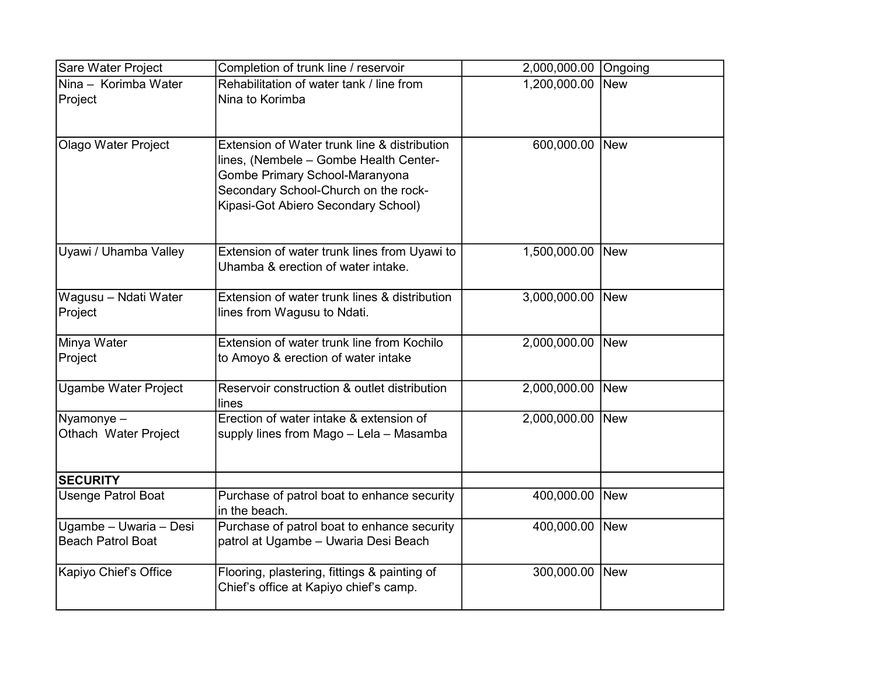| Sare Water Project                                 | Completion of trunk line / reservoir                                                                                                                                                                    | 2,000,000.00 Ongoing |            |
|----------------------------------------------------|---------------------------------------------------------------------------------------------------------------------------------------------------------------------------------------------------------|----------------------|------------|
| Nina - Korimba Water<br>Project                    | Rehabilitation of water tank / line from<br>Nina to Korimba                                                                                                                                             | 1,200,000.00         | <b>New</b> |
| <b>Olago Water Project</b>                         | Extension of Water trunk line & distribution<br>lines, (Nembele - Gombe Health Center-<br>Gombe Primary School-Maranyona<br>Secondary School-Church on the rock-<br>Kipasi-Got Abiero Secondary School) | 600,000.00           | New        |
| Uyawi / Uhamba Valley                              | Extension of water trunk lines from Uyawi to<br>Uhamba & erection of water intake.                                                                                                                      | 1,500,000.00         | New        |
| Wagusu - Ndati Water<br>Project                    | Extension of water trunk lines & distribution<br>lines from Wagusu to Ndati.                                                                                                                            | 3,000,000.00         | <b>New</b> |
| Minya Water<br>Project                             | Extension of water trunk line from Kochilo<br>to Amoyo & erection of water intake                                                                                                                       | 2,000,000.00         | New        |
| <b>Ugambe Water Project</b>                        | Reservoir construction & outlet distribution<br>lines                                                                                                                                                   | 2,000,000.00         | New        |
| Nyamonye-<br>Othach Water Project                  | Erection of water intake & extension of<br>supply lines from Mago - Lela - Masamba                                                                                                                      | 2,000,000.00 New     |            |
| <b>SECURITY</b>                                    |                                                                                                                                                                                                         |                      |            |
| <b>Usenge Patrol Boat</b>                          | Purchase of patrol boat to enhance security<br>in the beach.                                                                                                                                            | 400,000.00           | New        |
| Ugambe - Uwaria - Desi<br><b>Beach Patrol Boat</b> | Purchase of patrol boat to enhance security<br>patrol at Ugambe - Uwaria Desi Beach                                                                                                                     | 400,000.00 New       |            |
| Kapiyo Chief's Office                              | Flooring, plastering, fittings & painting of<br>Chief's office at Kapiyo chief's camp.                                                                                                                  | 300,000.00           | New        |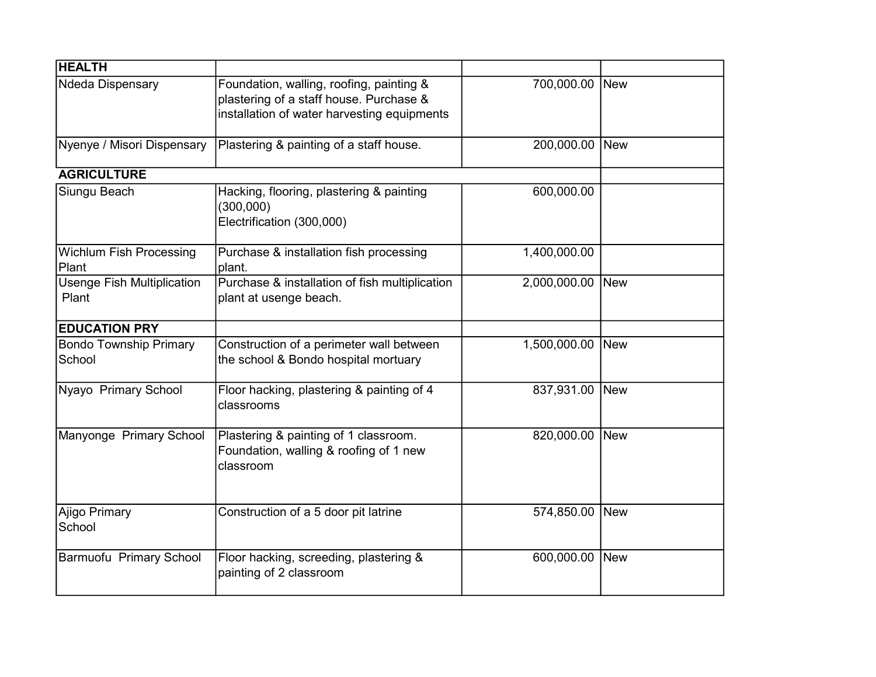| <b>HEALTH</b>                              |                                                                                                                                    |                |            |
|--------------------------------------------|------------------------------------------------------------------------------------------------------------------------------------|----------------|------------|
| Ndeda Dispensary                           | Foundation, walling, roofing, painting &<br>plastering of a staff house. Purchase &<br>installation of water harvesting equipments | 700,000.00 New |            |
| Nyenye / Misori Dispensary                 | Plastering & painting of a staff house.                                                                                            | 200,000.00 New |            |
| <b>AGRICULTURE</b>                         |                                                                                                                                    |                |            |
| Siungu Beach                               | Hacking, flooring, plastering & painting<br>(300,000)<br>Electrification (300,000)                                                 | 600,000.00     |            |
| <b>Wichlum Fish Processing</b><br>Plant    | Purchase & installation fish processing<br>plant.                                                                                  | 1,400,000.00   |            |
| <b>Usenge Fish Multiplication</b><br>Plant | Purchase & installation of fish multiplication<br>plant at usenge beach.                                                           | 2,000,000.00   | New        |
| <b>EDUCATION PRY</b>                       |                                                                                                                                    |                |            |
| <b>Bondo Township Primary</b><br>School    | Construction of a perimeter wall between<br>the school & Bondo hospital mortuary                                                   | 1,500,000.00   | <b>New</b> |
| Nyayo Primary School                       | Floor hacking, plastering & painting of 4<br>classrooms                                                                            | 837,931.00     | <b>New</b> |
| Manyonge Primary School                    | Plastering & painting of 1 classroom.<br>Foundation, walling & roofing of 1 new<br>classroom                                       | 820,000.00 New |            |
| Ajigo Primary<br>School                    | Construction of a 5 door pit latrine                                                                                               | 574,850.00     | New        |
| Barmuofu Primary School                    | Floor hacking, screeding, plastering &<br>painting of 2 classroom                                                                  | 600,000.00 New |            |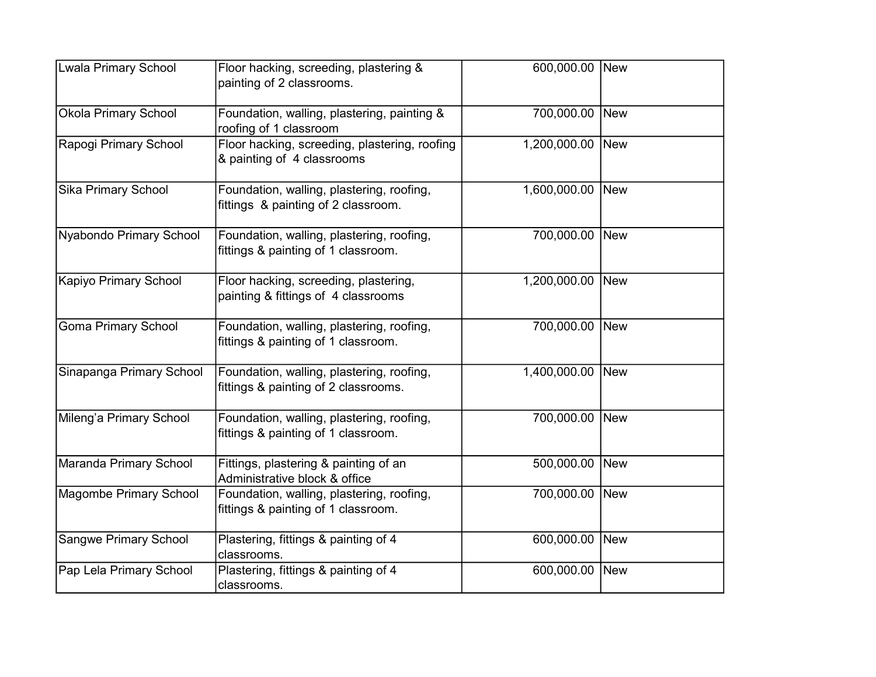| <b>Lwala Primary School</b>   | Floor hacking, screeding, plastering &<br>painting of 2 classrooms.               | 600,000.00 New   |            |
|-------------------------------|-----------------------------------------------------------------------------------|------------------|------------|
| <b>Okola Primary School</b>   | Foundation, walling, plastering, painting &<br>roofing of 1 classroom             | 700,000.00 New   |            |
| Rapogi Primary School         | Floor hacking, screeding, plastering, roofing<br>& painting of 4 classrooms       | 1,200,000.00 New |            |
| <b>Sika Primary School</b>    | Foundation, walling, plastering, roofing,<br>fittings & painting of 2 classroom.  | 1,600,000.00     | <b>New</b> |
| Nyabondo Primary School       | Foundation, walling, plastering, roofing,<br>fittings & painting of 1 classroom.  | 700,000.00 New   |            |
| <b>Kapiyo Primary School</b>  | Floor hacking, screeding, plastering,<br>painting & fittings of 4 classrooms      | 1,200,000.00 New |            |
| <b>Goma Primary School</b>    | Foundation, walling, plastering, roofing,<br>fittings & painting of 1 classroom.  | 700,000.00 New   |            |
| Sinapanga Primary School      | Foundation, walling, plastering, roofing,<br>fittings & painting of 2 classrooms. | 1,400,000.00     | New        |
| Mileng'a Primary School       | Foundation, walling, plastering, roofing,<br>fittings & painting of 1 classroom.  | 700,000.00       | New        |
| Maranda Primary School        | Fittings, plastering & painting of an<br>Administrative block & office            | 500,000.00 New   |            |
| <b>Magombe Primary School</b> | Foundation, walling, plastering, roofing,<br>fittings & painting of 1 classroom.  | 700,000.00 New   |            |
| <b>Sangwe Primary School</b>  | Plastering, fittings & painting of 4<br>classrooms.                               | 600,000.00       | New        |
| Pap Lela Primary School       | Plastering, fittings & painting of 4<br>classrooms.                               | 600,000.00 New   |            |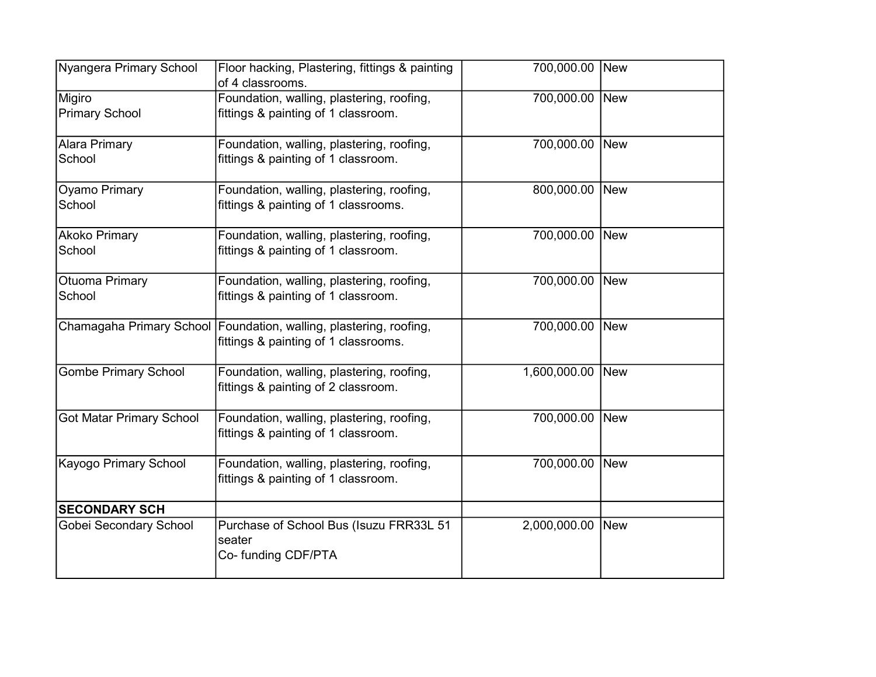| Nyangera Primary School         | Floor hacking, Plastering, fittings & painting<br>of 4 classrooms.                                         | 700,000.00 New   |  |
|---------------------------------|------------------------------------------------------------------------------------------------------------|------------------|--|
| Migiro<br><b>Primary School</b> | Foundation, walling, plastering, roofing,<br>fittings & painting of 1 classroom.                           | 700,000.00 New   |  |
| <b>Alara Primary</b><br>School  | Foundation, walling, plastering, roofing,<br>fittings & painting of 1 classroom.                           | 700,000.00 New   |  |
| Oyamo Primary<br>School         | Foundation, walling, plastering, roofing,<br>fittings & painting of 1 classrooms.                          | 800,000.00 New   |  |
| <b>Akoko Primary</b><br>School  | Foundation, walling, plastering, roofing,<br>fittings & painting of 1 classroom.                           | 700,000.00 New   |  |
| Otuoma Primary<br>School        | Foundation, walling, plastering, roofing,<br>fittings & painting of 1 classroom.                           | 700,000.00 New   |  |
|                                 | Chamagaha Primary School Foundation, walling, plastering, roofing,<br>fittings & painting of 1 classrooms. | 700,000.00 New   |  |
| <b>Gombe Primary School</b>     | Foundation, walling, plastering, roofing,<br>fittings & painting of 2 classroom.                           | 1,600,000.00 New |  |
| <b>Got Matar Primary School</b> | Foundation, walling, plastering, roofing,<br>fittings & painting of 1 classroom.                           | 700,000.00 New   |  |
| Kayogo Primary School           | Foundation, walling, plastering, roofing,<br>fittings & painting of 1 classroom.                           | 700,000.00 New   |  |
| <b>SECONDARY SCH</b>            |                                                                                                            |                  |  |
| Gobei Secondary School          | Purchase of School Bus (Isuzu FRR33L 51<br>seater<br>Co- funding CDF/PTA                                   | 2,000,000.00 New |  |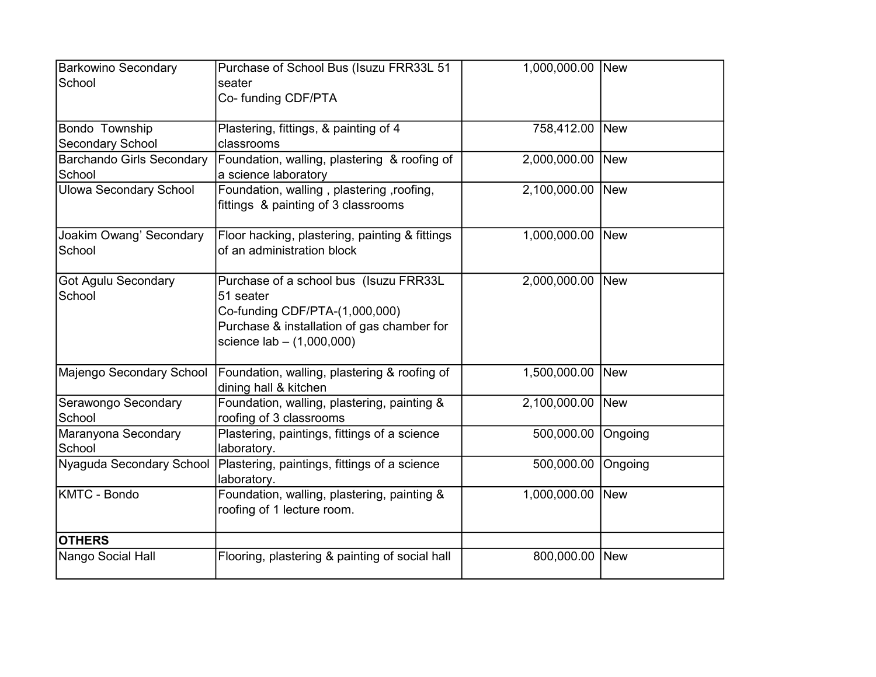| <b>Barkowino Secondary</b><br>School       | Purchase of School Bus (Isuzu FRR33L 51<br>seater<br>Co- funding CDF/PTA                                                                                           | 1,000,000.00   | New        |
|--------------------------------------------|--------------------------------------------------------------------------------------------------------------------------------------------------------------------|----------------|------------|
| Bondo Township<br>Secondary School         | Plastering, fittings, & painting of 4<br>classrooms                                                                                                                | 758,412.00 New |            |
| <b>Barchando Girls Secondary</b><br>School | Foundation, walling, plastering & roofing of<br>a science laboratory                                                                                               | 2,000,000.00   | New        |
| <b>Ulowa Secondary School</b>              | Foundation, walling, plastering, roofing,<br>fittings & painting of 3 classrooms                                                                                   | 2,100,000.00   | New        |
| Joakim Owang' Secondary<br>School          | Floor hacking, plastering, painting & fittings<br>of an administration block                                                                                       | 1,000,000.00   | New        |
| <b>Got Agulu Secondary</b><br>School       | Purchase of a school bus (Isuzu FRR33L<br>51 seater<br>Co-funding CDF/PTA-(1,000,000)<br>Purchase & installation of gas chamber for<br>science $lab - (1,000,000)$ | 2,000,000.00   | <b>New</b> |
| Majengo Secondary School                   | Foundation, walling, plastering & roofing of<br>dining hall & kitchen                                                                                              | 1,500,000.00   | New        |
| Serawongo Secondary<br>School              | Foundation, walling, plastering, painting &<br>roofing of 3 classrooms                                                                                             | 2,100,000.00   | New        |
| Maranyona Secondary<br>School              | Plastering, paintings, fittings of a science<br>laboratory.                                                                                                        | 500,000.00     | Ongoing    |
| Nyaguda Secondary School                   | Plastering, paintings, fittings of a science<br>laboratory.                                                                                                        | 500,000.00     | Ongoing    |
| <b>KMTC - Bondo</b>                        | Foundation, walling, plastering, painting &<br>roofing of 1 lecture room.                                                                                          | 1,000,000.00   | New        |
| <b>OTHERS</b>                              |                                                                                                                                                                    |                |            |
| Nango Social Hall                          | Flooring, plastering & painting of social hall                                                                                                                     | 800,000.00     | New        |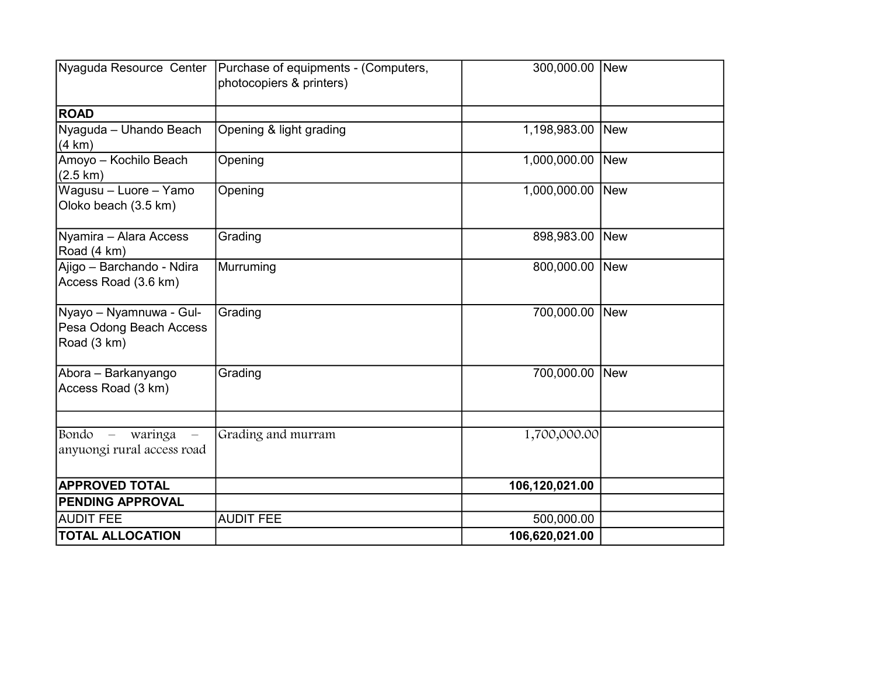|                                                                            | Nyaguda Resource Center   Purchase of equipments - (Computers,<br>photocopiers & printers) | 300,000.00 New   |     |
|----------------------------------------------------------------------------|--------------------------------------------------------------------------------------------|------------------|-----|
| <b>ROAD</b>                                                                |                                                                                            |                  |     |
| Nyaguda - Uhando Beach<br>(4 km)                                           | Opening & light grading                                                                    | 1,198,983.00 New |     |
| Amoyo - Kochilo Beach<br>$(2.5 \text{ km})$                                | Opening                                                                                    | 1,000,000.00 New |     |
| Wagusu - Luore - Yamo<br>Oloko beach (3.5 km)                              | Opening                                                                                    | 1,000,000.00     | New |
| Nyamira - Alara Access<br>Road (4 km)                                      | Grading                                                                                    | 898,983.00 New   |     |
| Ajigo - Barchando - Ndira<br>Access Road (3.6 km)                          | Murruming                                                                                  | 800,000.00 New   |     |
| Nyayo – Nyamnuwa - Gul-<br>Pesa Odong Beach Access<br>Road (3 km)          | Grading                                                                                    | 700,000.00 New   |     |
| Abora – Barkanyango<br>Access Road (3 km)                                  | Grading                                                                                    | 700,000.00       | New |
|                                                                            |                                                                                            |                  |     |
| Bondo<br>waringa<br>$\overline{\phantom{m}}$<br>anyuongi rural access road | Grading and murram                                                                         | 1,700,000.00     |     |
| <b>APPROVED TOTAL</b>                                                      |                                                                                            | 106,120,021.00   |     |
| <b>PENDING APPROVAL</b>                                                    |                                                                                            |                  |     |
| <b>AUDIT FEE</b>                                                           | <b>AUDIT FEE</b>                                                                           | 500,000.00       |     |
| <b>TOTAL ALLOCATION</b>                                                    |                                                                                            | 106,620,021.00   |     |